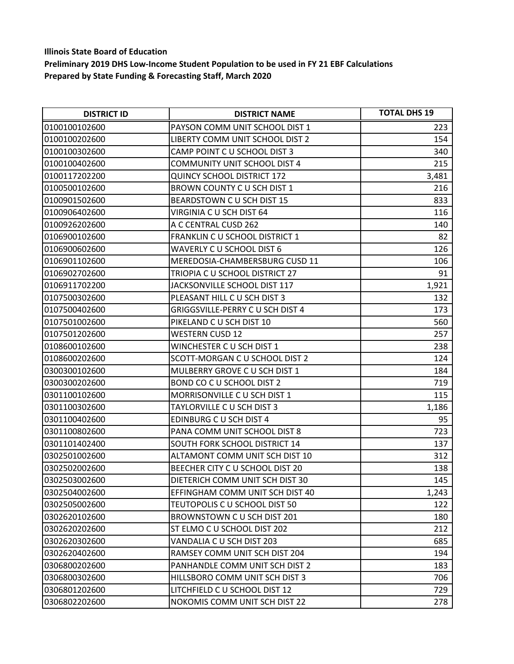| <b>DISTRICT ID</b> | <b>DISTRICT NAME</b>                | <b>TOTAL DHS 19</b> |
|--------------------|-------------------------------------|---------------------|
| 0100100102600      | PAYSON COMM UNIT SCHOOL DIST 1      | 223                 |
| 0100100202600      | LIBERTY COMM UNIT SCHOOL DIST 2     | 154                 |
| 0100100302600      | CAMP POINT C U SCHOOL DIST 3        | 340                 |
| 0100100402600      | <b>COMMUNITY UNIT SCHOOL DIST 4</b> | 215                 |
| 0100117202200      | <b>QUINCY SCHOOL DISTRICT 172</b>   | 3,481               |
| 0100500102600      | BROWN COUNTY C U SCH DIST 1         | 216                 |
| 0100901502600      | BEARDSTOWN C U SCH DIST 15          | 833                 |
| 0100906402600      | VIRGINIA C U SCH DIST 64            | 116                 |
| 0100926202600      | A C CENTRAL CUSD 262                | 140                 |
| 0106900102600      | FRANKLIN C U SCHOOL DISTRICT 1      | 82                  |
| 0106900602600      | WAVERLY C U SCHOOL DIST 6           | 126                 |
| 0106901102600      | MEREDOSIA-CHAMBERSBURG CUSD 11      | 106                 |
| 0106902702600      | TRIOPIA C U SCHOOL DISTRICT 27      | 91                  |
| 0106911702200      | JACKSONVILLE SCHOOL DIST 117        | 1,921               |
| 0107500302600      | PLEASANT HILL C U SCH DIST 3        | 132                 |
| 0107500402600      | GRIGGSVILLE-PERRY C U SCH DIST 4    | 173                 |
| 0107501002600      | PIKELAND C U SCH DIST 10            | 560                 |
| 0107501202600      | <b>WESTERN CUSD 12</b>              | 257                 |
| 0108600102600      | WINCHESTER C U SCH DIST 1           | 238                 |
| 0108600202600      | SCOTT-MORGAN C U SCHOOL DIST 2      | 124                 |
| 0300300102600      | MULBERRY GROVE C U SCH DIST 1       | 184                 |
| 0300300202600      | BOND CO C U SCHOOL DIST 2           | 719                 |
| 0301100102600      | MORRISONVILLE C U SCH DIST 1        | 115                 |
| 0301100302600      | TAYLORVILLE C U SCH DIST 3          | 1,186               |
| 0301100402600      | EDINBURG C U SCH DIST 4             | 95                  |
| 0301100802600      | PANA COMM UNIT SCHOOL DIST 8        | 723                 |
| 0301101402400      | SOUTH FORK SCHOOL DISTRICT 14       | 137                 |
| 0302501002600      | ALTAMONT COMM UNIT SCH DIST 10      | 312                 |
| 0302502002600      | BEECHER CITY C U SCHOOL DIST 20     | 138                 |
| 0302503002600      | DIETERICH COMM UNIT SCH DIST 30     | 145                 |
| 0302504002600      | EFFINGHAM COMM UNIT SCH DIST 40     | 1,243               |
| 0302505002600      | TEUTOPOLIS C U SCHOOL DIST 50       | 122                 |
| 0302620102600      | BROWNSTOWN C U SCH DIST 201         | 180                 |
| 0302620202600      | ST ELMO C U SCHOOL DIST 202         | 212                 |
| 0302620302600      | VANDALIA C U SCH DIST 203           | 685                 |
| 0302620402600      | RAMSEY COMM UNIT SCH DIST 204       | 194                 |
| 0306800202600      | PANHANDLE COMM UNIT SCH DIST 2      | 183                 |
| 0306800302600      | HILLSBORO COMM UNIT SCH DIST 3      | 706                 |
| 0306801202600      | LITCHFIELD C U SCHOOL DIST 12       | 729                 |
| 0306802202600      | NOKOMIS COMM UNIT SCH DIST 22       | 278                 |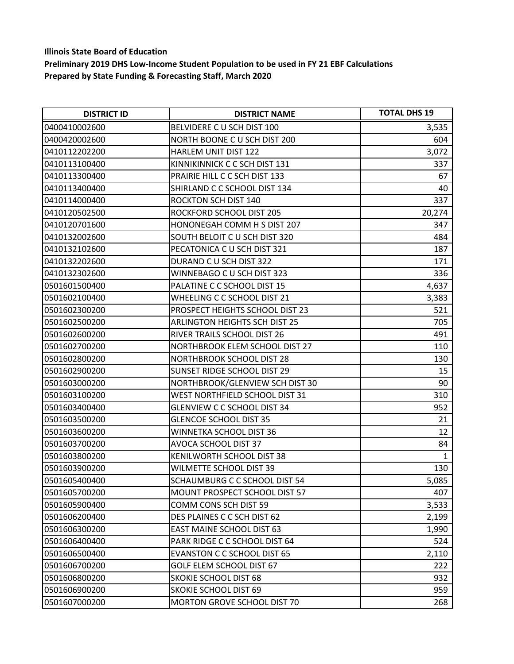| <b>DISTRICT ID</b> | <b>DISTRICT NAME</b>                 | <b>TOTAL DHS 19</b> |
|--------------------|--------------------------------------|---------------------|
| 0400410002600      | BELVIDERE C U SCH DIST 100           | 3,535               |
| 0400420002600      | NORTH BOONE C U SCH DIST 200         | 604                 |
| 0410112202200      | <b>HARLEM UNIT DIST 122</b>          | 3,072               |
| 0410113100400      | KINNIKINNICK C C SCH DIST 131        | 337                 |
| 0410113300400      | PRAIRIE HILL C C SCH DIST 133        | 67                  |
| 0410113400400      | SHIRLAND C C SCHOOL DIST 134         | 40                  |
| 0410114000400      | ROCKTON SCH DIST 140                 | 337                 |
| 0410120502500      | ROCKFORD SCHOOL DIST 205             | 20,274              |
| 0410120701600      | HONONEGAH COMM H S DIST 207          | 347                 |
| 0410132002600      | SOUTH BELOIT C U SCH DIST 320        | 484                 |
| 0410132102600      | PECATONICA C U SCH DIST 321          | 187                 |
| 0410132202600      | DURAND C U SCH DIST 322              | 171                 |
| 0410132302600      | WINNEBAGO C U SCH DIST 323           | 336                 |
| 0501601500400      | PALATINE C C SCHOOL DIST 15          | 4,637               |
| 0501602100400      | WHEELING C C SCHOOL DIST 21          | 3,383               |
| 0501602300200      | PROSPECT HEIGHTS SCHOOL DIST 23      | 521                 |
| 0501602500200      | <b>ARLINGTON HEIGHTS SCH DIST 25</b> | 705                 |
| 0501602600200      | RIVER TRAILS SCHOOL DIST 26          | 491                 |
| 0501602700200      | NORTHBROOK ELEM SCHOOL DIST 27       | 110                 |
| 0501602800200      | <b>NORTHBROOK SCHOOL DIST 28</b>     | 130                 |
| 0501602900200      | SUNSET RIDGE SCHOOL DIST 29          | 15                  |
| 0501603000200      | NORTHBROOK/GLENVIEW SCH DIST 30      | 90                  |
| 0501603100200      | WEST NORTHFIELD SCHOOL DIST 31       | 310                 |
| 0501603400400      | <b>GLENVIEW C C SCHOOL DIST 34</b>   | 952                 |
| 0501603500200      | <b>GLENCOE SCHOOL DIST 35</b>        | 21                  |
| 0501603600200      | WINNETKA SCHOOL DIST 36              | 12                  |
| 0501603700200      | AVOCA SCHOOL DIST 37                 | 84                  |
| 0501603800200      | KENILWORTH SCHOOL DIST 38            | $\mathbf{1}$        |
| 0501603900200      | WILMETTE SCHOOL DIST 39              | 130                 |
| 0501605400400      | SCHAUMBURG C C SCHOOL DIST 54        | 5,085               |
| 0501605700200      | MOUNT PROSPECT SCHOOL DIST 57        | 407                 |
| 0501605900400      | COMM CONS SCH DIST 59                | 3,533               |
| 0501606200400      | DES PLAINES C C SCH DIST 62          | 2,199               |
| 0501606300200      | <b>EAST MAINE SCHOOL DIST 63</b>     | 1,990               |
| 0501606400400      | PARK RIDGE C C SCHOOL DIST 64        | 524                 |
| 0501606500400      | <b>EVANSTON C C SCHOOL DIST 65</b>   | 2,110               |
| 0501606700200      | GOLF ELEM SCHOOL DIST 67             | 222                 |
| 0501606800200      | <b>SKOKIE SCHOOL DIST 68</b>         | 932                 |
| 0501606900200      | <b>SKOKIE SCHOOL DIST 69</b>         | 959                 |
| 0501607000200      | MORTON GROVE SCHOOL DIST 70          | 268                 |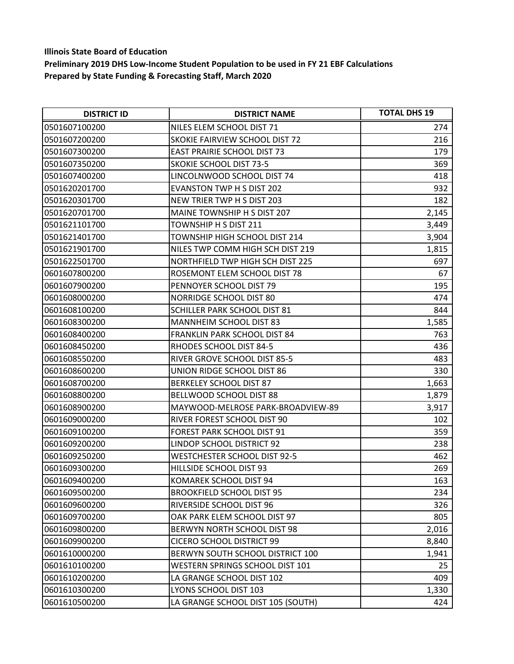| <b>DISTRICT ID</b> | <b>DISTRICT NAME</b>                | <b>TOTAL DHS 19</b> |
|--------------------|-------------------------------------|---------------------|
| 0501607100200      | NILES ELEM SCHOOL DIST 71           | 274                 |
| 0501607200200      | SKOKIE FAIRVIEW SCHOOL DIST 72      | 216                 |
| 0501607300200      | <b>EAST PRAIRIE SCHOOL DIST 73</b>  | 179                 |
| 0501607350200      | <b>SKOKIE SCHOOL DIST 73-5</b>      | 369                 |
| 0501607400200      | LINCOLNWOOD SCHOOL DIST 74          | 418                 |
| 0501620201700      | <b>EVANSTON TWP H S DIST 202</b>    | 932                 |
| 0501620301700      | NEW TRIER TWP H S DIST 203          | 182                 |
| 0501620701700      | MAINE TOWNSHIP H S DIST 207         | 2,145               |
| 0501621101700      | TOWNSHIP H S DIST 211               | 3,449               |
| 0501621401700      | TOWNSHIP HIGH SCHOOL DIST 214       | 3,904               |
| 0501621901700      | NILES TWP COMM HIGH SCH DIST 219    | 1,815               |
| 0501622501700      | NORTHFIELD TWP HIGH SCH DIST 225    | 697                 |
| 0601607800200      | ROSEMONT ELEM SCHOOL DIST 78        | 67                  |
| 0601607900200      | PENNOYER SCHOOL DIST 79             | 195                 |
| 0601608000200      | NORRIDGE SCHOOL DIST 80             | 474                 |
| 0601608100200      | SCHILLER PARK SCHOOL DIST 81        | 844                 |
| 0601608300200      | <b>MANNHEIM SCHOOL DIST 83</b>      | 1,585               |
| 0601608400200      | <b>FRANKLIN PARK SCHOOL DIST 84</b> | 763                 |
| 0601608450200      | RHODES SCHOOL DIST 84-5             | 436                 |
| 0601608550200      | RIVER GROVE SCHOOL DIST 85-5        | 483                 |
| 0601608600200      | UNION RIDGE SCHOOL DIST 86          | 330                 |
| 0601608700200      | <b>BERKELEY SCHOOL DIST 87</b>      | 1,663               |
| 0601608800200      | BELLWOOD SCHOOL DIST 88             | 1,879               |
| 0601608900200      | MAYWOOD-MELROSE PARK-BROADVIEW-89   | 3,917               |
| 0601609000200      | RIVER FOREST SCHOOL DIST 90         | 102                 |
| 0601609100200      | <b>FOREST PARK SCHOOL DIST 91</b>   | 359                 |
| 0601609200200      | LINDOP SCHOOL DISTRICT 92           | 238                 |
| 0601609250200      | WESTCHESTER SCHOOL DIST 92-5        | 462                 |
| 0601609300200      | HILLSIDE SCHOOL DIST 93             | 269                 |
| 0601609400200      | KOMAREK SCHOOL DIST 94              | 163                 |
| 0601609500200      | <b>BROOKFIELD SCHOOL DIST 95</b>    | 234                 |
| 0601609600200      | RIVERSIDE SCHOOL DIST 96            | 326                 |
| 0601609700200      | OAK PARK ELEM SCHOOL DIST 97        | 805                 |
| 0601609800200      | BERWYN NORTH SCHOOL DIST 98         | 2,016               |
| 0601609900200      | CICERO SCHOOL DISTRICT 99           | 8,840               |
| 0601610000200      | BERWYN SOUTH SCHOOL DISTRICT 100    | 1,941               |
| 0601610100200      | WESTERN SPRINGS SCHOOL DIST 101     | 25                  |
| 0601610200200      | LA GRANGE SCHOOL DIST 102           | 409                 |
| 0601610300200      | LYONS SCHOOL DIST 103               | 1,330               |
| 0601610500200      | LA GRANGE SCHOOL DIST 105 (SOUTH)   | 424                 |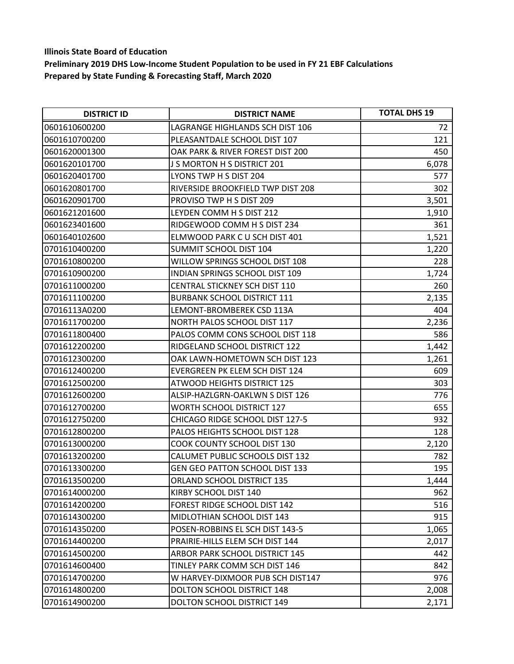| <b>DISTRICT ID</b> | <b>DISTRICT NAME</b>                  | <b>TOTAL DHS 19</b> |
|--------------------|---------------------------------------|---------------------|
| 0601610600200      | LAGRANGE HIGHLANDS SCH DIST 106       | 72                  |
| 0601610700200      | PLEASANTDALE SCHOOL DIST 107          | 121                 |
| 0601620001300      | OAK PARK & RIVER FOREST DIST 200      | 450                 |
| 0601620101700      | J S MORTON H S DISTRICT 201           | 6,078               |
| 0601620401700      | LYONS TWP H S DIST 204                | 577                 |
| 0601620801700      | RIVERSIDE BROOKFIELD TWP DIST 208     | 302                 |
| 0601620901700      | PROVISO TWP H S DIST 209              | 3,501               |
| 0601621201600      | LEYDEN COMM H S DIST 212              | 1,910               |
| 0601623401600      | RIDGEWOOD COMM H S DIST 234           | 361                 |
| 0601640102600      | ELMWOOD PARK CU SCH DIST 401          | 1,521               |
| 0701610400200      | SUMMIT SCHOOL DIST 104                | 1,220               |
| 0701610800200      | WILLOW SPRINGS SCHOOL DIST 108        | 228                 |
| 0701610900200      | <b>INDIAN SPRINGS SCHOOL DIST 109</b> | 1,724               |
| 0701611000200      | CENTRAL STICKNEY SCH DIST 110         | 260                 |
| 0701611100200      | <b>BURBANK SCHOOL DISTRICT 111</b>    | 2,135               |
| 07016113A0200      | LEMONT-BROMBEREK CSD 113A             | 404                 |
| 0701611700200      | NORTH PALOS SCHOOL DIST 117           | 2,236               |
| 0701611800400      | PALOS COMM CONS SCHOOL DIST 118       | 586                 |
| 0701612200200      | RIDGELAND SCHOOL DISTRICT 122         | 1,442               |
| 0701612300200      | OAK LAWN-HOMETOWN SCH DIST 123        | 1,261               |
| 0701612400200      | EVERGREEN PK ELEM SCH DIST 124        | 609                 |
| 0701612500200      | <b>ATWOOD HEIGHTS DISTRICT 125</b>    | 303                 |
| 0701612600200      | ALSIP-HAZLGRN-OAKLWN S DIST 126       | 776                 |
| 0701612700200      | <b>WORTH SCHOOL DISTRICT 127</b>      | 655                 |
| 0701612750200      | CHICAGO RIDGE SCHOOL DIST 127-5       | 932                 |
| 0701612800200      | PALOS HEIGHTS SCHOOL DIST 128         | 128                 |
| 0701613000200      | <b>COOK COUNTY SCHOOL DIST 130</b>    | 2,120               |
| 0701613200200      | CALUMET PUBLIC SCHOOLS DIST 132       | 782                 |
| 0701613300200      | <b>GEN GEO PATTON SCHOOL DIST 133</b> | 195                 |
| 0701613500200      | ORLAND SCHOOL DISTRICT 135            | 1,444               |
| 0701614000200      | KIRBY SCHOOL DIST 140                 | 962                 |
| 0701614200200      | FOREST RIDGE SCHOOL DIST 142          | 516                 |
| 0701614300200      | MIDLOTHIAN SCHOOL DIST 143            | 915                 |
| 0701614350200      | POSEN-ROBBINS EL SCH DIST 143-5       | 1,065               |
| 0701614400200      | PRAIRIE-HILLS ELEM SCH DIST 144       | 2,017               |
| 0701614500200      | ARBOR PARK SCHOOL DISTRICT 145        | 442                 |
| 0701614600400      | TINLEY PARK COMM SCH DIST 146         | 842                 |
| 0701614700200      | W HARVEY-DIXMOOR PUB SCH DIST147      | 976                 |
| 0701614800200      | DOLTON SCHOOL DISTRICT 148            | 2,008               |
| 0701614900200      | <b>DOLTON SCHOOL DISTRICT 149</b>     | 2,171               |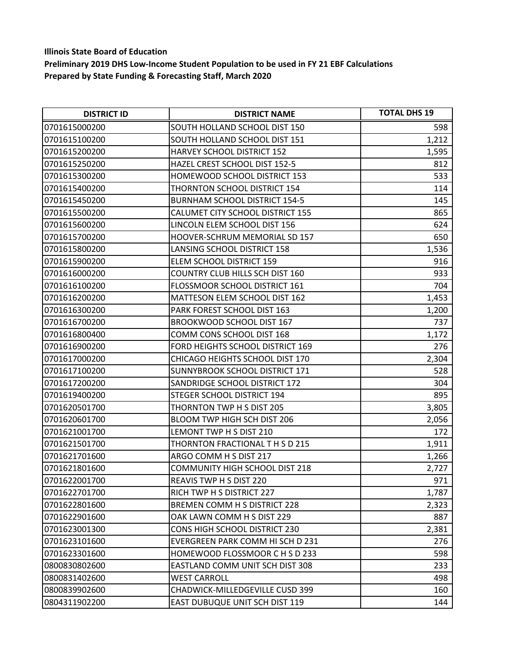| <b>DISTRICT ID</b> | <b>DISTRICT NAME</b>                   | <b>TOTAL DHS 19</b> |
|--------------------|----------------------------------------|---------------------|
| 0701615000200      | SOUTH HOLLAND SCHOOL DIST 150          | 598                 |
| 0701615100200      | SOUTH HOLLAND SCHOOL DIST 151          | 1,212               |
| 0701615200200      | HARVEY SCHOOL DISTRICT 152             | 1,595               |
| 0701615250200      | HAZEL CREST SCHOOL DIST 152-5          | 812                 |
| 0701615300200      | HOMEWOOD SCHOOL DISTRICT 153           | 533                 |
| 0701615400200      | THORNTON SCHOOL DISTRICT 154           | 114                 |
| 0701615450200      | <b>BURNHAM SCHOOL DISTRICT 154-5</b>   | 145                 |
| 0701615500200      | CALUMET CITY SCHOOL DISTRICT 155       | 865                 |
| 0701615600200      | LINCOLN ELEM SCHOOL DIST 156           | 624                 |
| 0701615700200      | HOOVER-SCHRUM MEMORIAL SD 157          | 650                 |
| 0701615800200      | LANSING SCHOOL DISTRICT 158            | 1,536               |
| 0701615900200      | ELEM SCHOOL DISTRICT 159               | 916                 |
| 0701616000200      | <b>COUNTRY CLUB HILLS SCH DIST 160</b> | 933                 |
| 0701616100200      | FLOSSMOOR SCHOOL DISTRICT 161          | 704                 |
| 0701616200200      | MATTESON ELEM SCHOOL DIST 162          | 1,453               |
| 0701616300200      | PARK FOREST SCHOOL DIST 163            | 1,200               |
| 0701616700200      | BROOKWOOD SCHOOL DIST 167              | 737                 |
| 0701616800400      | COMM CONS SCHOOL DIST 168              | 1,172               |
| 0701616900200      | FORD HEIGHTS SCHOOL DISTRICT 169       | 276                 |
| 0701617000200      | CHICAGO HEIGHTS SCHOOL DIST 170        | 2,304               |
| 0701617100200      | SUNNYBROOK SCHOOL DISTRICT 171         | 528                 |
| 0701617200200      | SANDRIDGE SCHOOL DISTRICT 172          | 304                 |
| 0701619400200      | STEGER SCHOOL DISTRICT 194             | 895                 |
| 0701620501700      | THORNTON TWP H S DIST 205              | 3,805               |
| 0701620601700      | BLOOM TWP HIGH SCH DIST 206            | 2,056               |
| 0701621001700      | LEMONT TWP H S DIST 210                | 172                 |
| 0701621501700      | THORNTON FRACTIONAL THSD 215           | 1,911               |
| 0701621701600      | ARGO COMM H S DIST 217                 | 1,266               |
| 0701621801600      | <b>COMMUNITY HIGH SCHOOL DIST 218</b>  | 2,727               |
| 0701622001700      | REAVIS TWP H S DIST 220                | 971                 |
| 0701622701700      | RICH TWP H S DISTRICT 227              | 1,787               |
| 0701622801600      | BREMEN COMM H S DISTRICT 228           | 2,323               |
| 0701622901600      | OAK LAWN COMM H S DIST 229             | 887                 |
| 0701623001300      | <b>CONS HIGH SCHOOL DISTRICT 230</b>   | 2,381               |
| 0701623101600      | EVERGREEN PARK COMM HI SCH D 231       | 276                 |
| 0701623301600      | HOMEWOOD FLOSSMOOR C H S D 233         | 598                 |
| 0800830802600      | EASTLAND COMM UNIT SCH DIST 308        | 233                 |
| 0800831402600      | <b>WEST CARROLL</b>                    | 498                 |
| 0800839902600      | <b>CHADWICK-MILLEDGEVILLE CUSD 399</b> | 160                 |
| 0804311902200      | EAST DUBUQUE UNIT SCH DIST 119         | 144                 |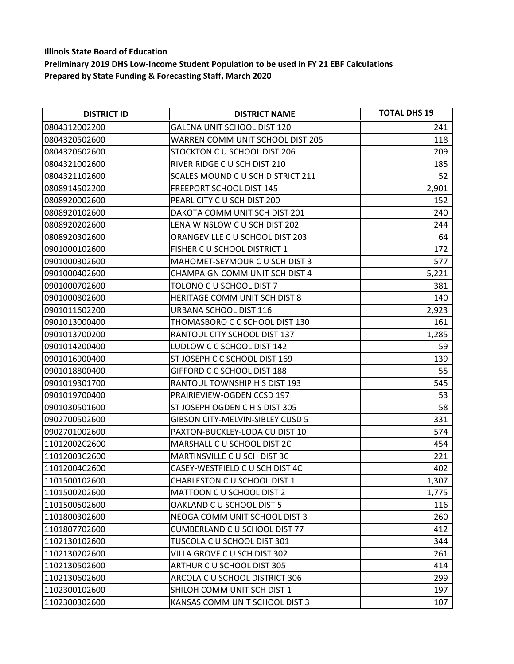| <b>DISTRICT ID</b> | <b>DISTRICT NAME</b>                    | <b>TOTAL DHS 19</b> |
|--------------------|-----------------------------------------|---------------------|
| 0804312002200      | <b>GALENA UNIT SCHOOL DIST 120</b>      | 241                 |
| 0804320502600      | <b>WARREN COMM UNIT SCHOOL DIST 205</b> | 118                 |
| 0804320602600      | STOCKTON C U SCHOOL DIST 206            | 209                 |
| 0804321002600      | RIVER RIDGE C U SCH DIST 210            | 185                 |
| 0804321102600      | SCALES MOUND C U SCH DISTRICT 211       | 52                  |
| 0808914502200      | <b>FREEPORT SCHOOL DIST 145</b>         | 2,901               |
| 0808920002600      | PEARL CITY C U SCH DIST 200             | 152                 |
| 0808920102600      | DAKOTA COMM UNIT SCH DIST 201           | 240                 |
| 0808920202600      | LENA WINSLOW C U SCH DIST 202           | 244                 |
| 0808920302600      | ORANGEVILLE C U SCHOOL DIST 203         | 64                  |
| 0901000102600      | FISHER C U SCHOOL DISTRICT 1            | 172                 |
| 0901000302600      | MAHOMET-SEYMOUR C U SCH DIST 3          | 577                 |
| 0901000402600      | <b>CHAMPAIGN COMM UNIT SCH DIST 4</b>   | 5,221               |
| 0901000702600      | TOLONO C U SCHOOL DIST 7                | 381                 |
| 0901000802600      | HERITAGE COMM UNIT SCH DIST 8           | 140                 |
| 0901011602200      | URBANA SCHOOL DIST 116                  | 2,923               |
| 0901013000400      | THOMASBORO C C SCHOOL DIST 130          | 161                 |
| 0901013700200      | RANTOUL CITY SCHOOL DIST 137            | 1,285               |
| 0901014200400      | LUDLOW C C SCHOOL DIST 142              | 59                  |
| 0901016900400      | ST JOSEPH C C SCHOOL DIST 169           | 139                 |
| 0901018800400      | GIFFORD C C SCHOOL DIST 188             | 55                  |
| 0901019301700      | RANTOUL TOWNSHIP H S DIST 193           | 545                 |
| 0901019700400      | PRAIRIEVIEW-OGDEN CCSD 197              | 53                  |
| 0901030501600      | ST JOSEPH OGDEN C H S DIST 305          | 58                  |
| 0902700502600      | <b>GIBSON CITY-MELVIN-SIBLEY CUSD 5</b> | 331                 |
| 0902701002600      | PAXTON-BUCKLEY-LODA CU DIST 10          | 574                 |
| 11012002C2600      | MARSHALL C U SCHOOL DIST 2C             | 454                 |
| 11012003C2600      | MARTINSVILLE C U SCH DIST 3C            | 221                 |
| 11012004C2600      | CASEY-WESTFIELD C U SCH DIST 4C         | 402                 |
| 1101500102600      | CHARLESTON C U SCHOOL DIST 1            | 1,307               |
| 1101500202600      | MATTOON C U SCHOOL DIST 2               | 1,775               |
| 1101500502600      | OAKLAND C U SCHOOL DIST 5               | 116                 |
| 1101800302600      | NEOGA COMM UNIT SCHOOL DIST 3           | 260                 |
| 1101807702600      | <b>CUMBERLAND C U SCHOOL DIST 77</b>    | 412                 |
| 1102130102600      | TUSCOLA C U SCHOOL DIST 301             | 344                 |
| 1102130202600      | VILLA GROVE C U SCH DIST 302            | 261                 |
| 1102130502600      | ARTHUR C U SCHOOL DIST 305              | 414                 |
| 1102130602600      | ARCOLA C U SCHOOL DISTRICT 306          | 299                 |
| 1102300102600      | SHILOH COMM UNIT SCH DIST 1             | 197                 |
| 1102300302600      | KANSAS COMM UNIT SCHOOL DIST 3          | 107                 |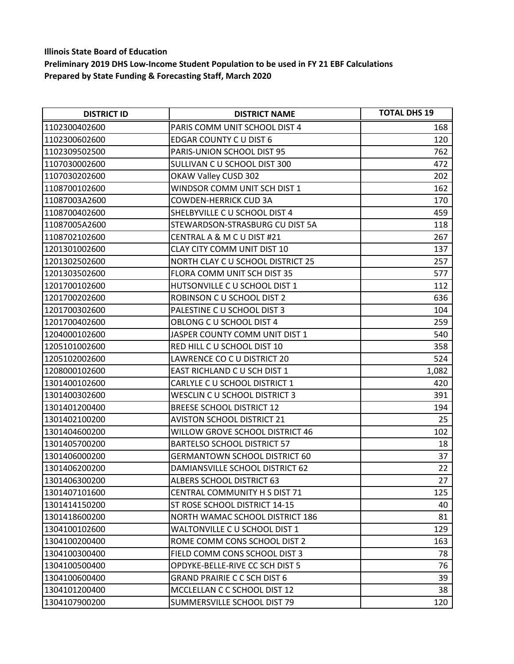| <b>DISTRICT ID</b> | <b>DISTRICT NAME</b>                 | <b>TOTAL DHS 19</b> |
|--------------------|--------------------------------------|---------------------|
| 1102300402600      | PARIS COMM UNIT SCHOOL DIST 4        | 168                 |
| 1102300602600      | EDGAR COUNTY C U DIST 6              | 120                 |
| 1102309502500      | PARIS-UNION SCHOOL DIST 95           | 762                 |
| 1107030002600      | SULLIVAN C U SCHOOL DIST 300         | 472                 |
| 1107030202600      | OKAW Valley CUSD 302                 | 202                 |
| 1108700102600      | WINDSOR COMM UNIT SCH DIST 1         | 162                 |
| 11087003A2600      | <b>COWDEN-HERRICK CUD 3A</b>         | 170                 |
| 1108700402600      | SHELBYVILLE C U SCHOOL DIST 4        | 459                 |
| 11087005A2600      | STEWARDSON-STRASBURG CU DIST 5A      | 118                 |
| 1108702102600      | CENTRAL A & M C U DIST #21           | 267                 |
| 1201301002600      | CLAY CITY COMM UNIT DIST 10          | 137                 |
| 1201302502600      | NORTH CLAY C U SCHOOL DISTRICT 25    | 257                 |
| 1201303502600      | FLORA COMM UNIT SCH DIST 35          | 577                 |
| 1201700102600      | HUTSONVILLE C U SCHOOL DIST 1        | 112                 |
| 1201700202600      | ROBINSON C U SCHOOL DIST 2           | 636                 |
| 1201700302600      | PALESTINE C U SCHOOL DIST 3          | 104                 |
| 1201700402600      | OBLONG C U SCHOOL DIST 4             | 259                 |
| 1204000102600      | JASPER COUNTY COMM UNIT DIST 1       | 540                 |
| 1205101002600      | RED HILL C U SCHOOL DIST 10          | 358                 |
| 1205102002600      | LAWRENCE CO C U DISTRICT 20          | 524                 |
| 1208000102600      | EAST RICHLAND C U SCH DIST 1         | 1,082               |
| 1301400102600      | CARLYLE C U SCHOOL DISTRICT 1        | 420                 |
| 1301400302600      | WESCLIN C U SCHOOL DISTRICT 3        | 391                 |
| 1301401200400      | <b>BREESE SCHOOL DISTRICT 12</b>     | 194                 |
| 1301402100200      | <b>AVISTON SCHOOL DISTRICT 21</b>    | 25                  |
| 1301404600200      | WILLOW GROVE SCHOOL DISTRICT 46      | 102                 |
| 1301405700200      | <b>BARTELSO SCHOOL DISTRICT 57</b>   | 18                  |
| 1301406000200      | <b>GERMANTOWN SCHOOL DISTRICT 60</b> | 37                  |
| 1301406200200      | DAMIANSVILLE SCHOOL DISTRICT 62      | 22                  |
| 1301406300200      | ALBERS SCHOOL DISTRICT 63            | 27                  |
| 1301407101600      | CENTRAL COMMUNITY H S DIST 71        | 125                 |
| 1301414150200      | ST ROSE SCHOOL DISTRICT 14-15        | 40                  |
| 1301418600200      | NORTH WAMAC SCHOOL DISTRICT 186      | 81                  |
| 1304100102600      | WALTONVILLE C U SCHOOL DIST 1        | 129                 |
| 1304100200400      | ROME COMM CONS SCHOOL DIST 2         | 163                 |
| 1304100300400      | FIELD COMM CONS SCHOOL DIST 3        | 78                  |
| 1304100500400      | OPDYKE-BELLE-RIVE CC SCH DIST 5      | 76                  |
| 1304100600400      | <b>GRAND PRAIRIE C C SCH DIST 6</b>  | 39                  |
| 1304101200400      | MCCLELLAN C C SCHOOL DIST 12         | 38                  |
| 1304107900200      | SUMMERSVILLE SCHOOL DIST 79          | 120                 |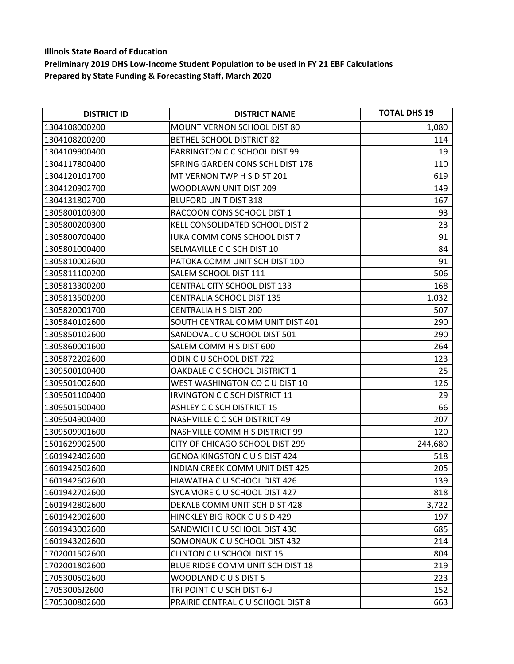| <b>DISTRICT ID</b> | <b>DISTRICT NAME</b>                 | <b>TOTAL DHS 19</b> |
|--------------------|--------------------------------------|---------------------|
| 1304108000200      | <b>MOUNT VERNON SCHOOL DIST 80</b>   | 1,080               |
| 1304108200200      | <b>BETHEL SCHOOL DISTRICT 82</b>     | 114                 |
| 1304109900400      | <b>FARRINGTON C C SCHOOL DIST 99</b> | 19                  |
| 1304117800400      | SPRING GARDEN CONS SCHL DIST 178     | 110                 |
| 1304120101700      | MT VERNON TWP H S DIST 201           | 619                 |
| 1304120902700      | WOODLAWN UNIT DIST 209               | 149                 |
| 1304131802700      | <b>BLUFORD UNIT DIST 318</b>         | 167                 |
| 1305800100300      | RACCOON CONS SCHOOL DIST 1           | 93                  |
| 1305800200300      | KELL CONSOLIDATED SCHOOL DIST 2      | 23                  |
| 1305800700400      | <b>IUKA COMM CONS SCHOOL DIST 7</b>  | 91                  |
| 1305801000400      | SELMAVILLE C C SCH DIST 10           | 84                  |
| 1305810002600      | PATOKA COMM UNIT SCH DIST 100        | 91                  |
| 1305811100200      | SALEM SCHOOL DIST 111                | 506                 |
| 1305813300200      | <b>CENTRAL CITY SCHOOL DIST 133</b>  | 168                 |
| 1305813500200      | <b>CENTRALIA SCHOOL DIST 135</b>     | 1,032               |
| 1305820001700      | <b>CENTRALIA H S DIST 200</b>        | 507                 |
| 1305840102600      | SOUTH CENTRAL COMM UNIT DIST 401     | 290                 |
| 1305850102600      | SANDOVAL C U SCHOOL DIST 501         | 290                 |
| 1305860001600      | SALEM COMM H S DIST 600              | 264                 |
| 1305872202600      | ODIN CU SCHOOL DIST 722              | 123                 |
| 1309500100400      | OAKDALE C C SCHOOL DISTRICT 1        | 25                  |
| 1309501002600      | WEST WASHINGTON CO C U DIST 10       | 126                 |
| 1309501100400      | <b>IRVINGTON C C SCH DISTRICT 11</b> | 29                  |
| 1309501500400      | <b>ASHLEY C C SCH DISTRICT 15</b>    | 66                  |
| 1309504900400      | <b>NASHVILLE C C SCH DISTRICT 49</b> | 207                 |
| 1309509901600      | NASHVILLE COMM H S DISTRICT 99       | 120                 |
| 1501629902500      | CITY OF CHICAGO SCHOOL DIST 299      | 244,680             |
| 1601942402600      | <b>GENOA KINGSTON C U S DIST 424</b> | 518                 |
| 1601942502600      | INDIAN CREEK COMM UNIT DIST 425      | 205                 |
| 1601942602600      | HIAWATHA C U SCHOOL DIST 426         | 139                 |
| 1601942702600      | SYCAMORE C U SCHOOL DIST 427         | 818                 |
| 1601942802600      | DEKALB COMM UNIT SCH DIST 428        | 3,722               |
| 1601942902600      | HINCKLEY BIG ROCK C U S D 429        | 197                 |
| 1601943002600      | SANDWICH C U SCHOOL DIST 430         | 685                 |
| 1601943202600      | SOMONAUK C U SCHOOL DIST 432         | 214                 |
| 1702001502600      | <b>CLINTON C U SCHOOL DIST 15</b>    | 804                 |
| 1702001802600      | BLUE RIDGE COMM UNIT SCH DIST 18     | 219                 |
| 1705300502600      | WOODLAND C U S DIST 5                | 223                 |
| 17053006J2600      | TRI POINT CU SCH DIST 6-J            | 152                 |
| 1705300802600      | PRAIRIE CENTRAL C U SCHOOL DIST 8    | 663                 |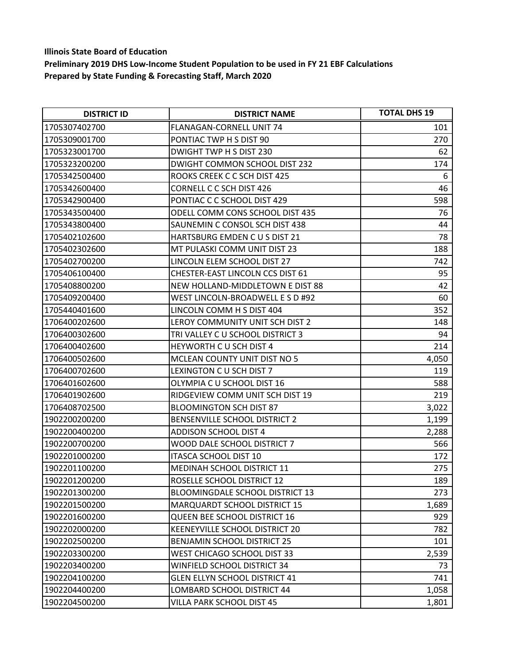| <b>DISTRICT ID</b> | <b>DISTRICT NAME</b>                    | <b>TOTAL DHS 19</b> |
|--------------------|-----------------------------------------|---------------------|
| 1705307402700      | FLANAGAN-CORNELL UNIT 74                | 101                 |
| 1705309001700      | PONTIAC TWP H S DIST 90                 | 270                 |
| 1705323001700      | DWIGHT TWP H S DIST 230                 | 62                  |
| 1705323200200      | DWIGHT COMMON SCHOOL DIST 232           | 174                 |
| 1705342500400      | ROOKS CREEK C C SCH DIST 425            | 6                   |
| 1705342600400      | <b>CORNELL C C SCH DIST 426</b>         | 46                  |
| 1705342900400      | PONTIAC C C SCHOOL DIST 429             | 598                 |
| 1705343500400      | ODELL COMM CONS SCHOOL DIST 435         | 76                  |
| 1705343800400      | SAUNEMIN C CONSOL SCH DIST 438          | 44                  |
| 1705402102600      | HARTSBURG EMDEN CUS DIST 21             | 78                  |
| 1705402302600      | MT PULASKI COMM UNIT DIST 23            | 188                 |
| 1705402700200      | LINCOLN ELEM SCHOOL DIST 27             | 742                 |
| 1705406100400      | <b>CHESTER-EAST LINCOLN CCS DIST 61</b> | 95                  |
| 1705408800200      | NEW HOLLAND-MIDDLETOWN E DIST 88        | 42                  |
| 1705409200400      | WEST LINCOLN-BROADWELL E S D #92        | 60                  |
| 1705440401600      | LINCOLN COMM H S DIST 404               | 352                 |
| 1706400202600      | LEROY COMMUNITY UNIT SCH DIST 2         | 148                 |
| 1706400302600      | TRI VALLEY C U SCHOOL DISTRICT 3        | 94                  |
| 1706400402600      | HEYWORTH CU SCH DIST 4                  | 214                 |
| 1706400502600      | MCLEAN COUNTY UNIT DIST NO 5            | 4,050               |
| 1706400702600      | LEXINGTON C U SCH DIST 7                | 119                 |
| 1706401602600      | OLYMPIA C U SCHOOL DIST 16              | 588                 |
| 1706401902600      | RIDGEVIEW COMM UNIT SCH DIST 19         | 219                 |
| 1706408702500      | <b>BLOOMINGTON SCH DIST 87</b>          | 3,022               |
| 1902200200200      | BENSENVILLE SCHOOL DISTRICT 2           | 1,199               |
| 1902200400200      | <b>ADDISON SCHOOL DIST 4</b>            | 2,288               |
| 1902200700200      | WOOD DALE SCHOOL DISTRICT 7             | 566                 |
| 1902201000200      | <b>ITASCA SCHOOL DIST 10</b>            | 172                 |
| 1902201100200      | MEDINAH SCHOOL DISTRICT 11              | 275                 |
| 1902201200200      | ROSELLE SCHOOL DISTRICT 12              | 189                 |
| 1902201300200      | <b>BLOOMINGDALE SCHOOL DISTRICT 13</b>  | 273                 |
| 1902201500200      | <b>MARQUARDT SCHOOL DISTRICT 15</b>     | 1,689               |
| 1902201600200      | <b>QUEEN BEE SCHOOL DISTRICT 16</b>     | 929                 |
| 1902202000200      | KEENEYVILLE SCHOOL DISTRICT 20          | 782                 |
| 1902202500200      | <b>BENJAMIN SCHOOL DISTRICT 25</b>      | 101                 |
| 1902203300200      | WEST CHICAGO SCHOOL DIST 33             | 2,539               |
| 1902203400200      | WINFIELD SCHOOL DISTRICT 34             | 73                  |
| 1902204100200      | <b>GLEN ELLYN SCHOOL DISTRICT 41</b>    | 741                 |
| 1902204400200      | LOMBARD SCHOOL DISTRICT 44              | 1,058               |
| 1902204500200      | VILLA PARK SCHOOL DIST 45               | 1,801               |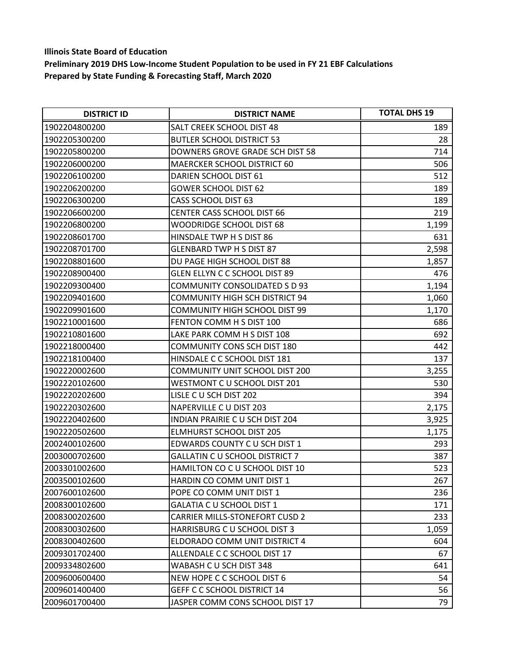| <b>DISTRICT ID</b> | <b>DISTRICT NAME</b>                  | <b>TOTAL DHS 19</b> |
|--------------------|---------------------------------------|---------------------|
| 1902204800200      | SALT CREEK SCHOOL DIST 48             | 189                 |
| 1902205300200      | <b>BUTLER SCHOOL DISTRICT 53</b>      | 28                  |
| 1902205800200      | DOWNERS GROVE GRADE SCH DIST 58       | 714                 |
| 1902206000200      | <b>MAERCKER SCHOOL DISTRICT 60</b>    | 506                 |
| 1902206100200      | DARIEN SCHOOL DIST 61                 | 512                 |
| 1902206200200      | <b>GOWER SCHOOL DIST 62</b>           | 189                 |
| 1902206300200      | <b>CASS SCHOOL DIST 63</b>            | 189                 |
| 1902206600200      | <b>CENTER CASS SCHOOL DIST 66</b>     | 219                 |
| 1902206800200      | WOODRIDGE SCHOOL DIST 68              | 1,199               |
| 1902208601700      | HINSDALE TWP H S DIST 86              | 631                 |
| 1902208701700      | GLENBARD TWP H S DIST 87              | 2,598               |
| 1902208801600      | DU PAGE HIGH SCHOOL DIST 88           | 1,857               |
| 1902208900400      | GLEN ELLYN C C SCHOOL DIST 89         | 476                 |
| 1902209300400      | <b>COMMUNITY CONSOLIDATED S D 93</b>  | 1,194               |
| 1902209401600      | <b>COMMUNITY HIGH SCH DISTRICT 94</b> | 1,060               |
| 1902209901600      | <b>COMMUNITY HIGH SCHOOL DIST 99</b>  | 1,170               |
| 1902210001600      | FENTON COMM H S DIST 100              | 686                 |
| 1902210801600      | LAKE PARK COMM H S DIST 108           | 692                 |
| 1902218000400      | <b>COMMUNITY CONS SCH DIST 180</b>    | 442                 |
| 1902218100400      | HINSDALE C C SCHOOL DIST 181          | 137                 |
| 1902220002600      | <b>COMMUNITY UNIT SCHOOL DIST 200</b> | 3,255               |
| 1902220102600      | WESTMONT C U SCHOOL DIST 201          | 530                 |
| 1902220202600      | LISLE C U SCH DIST 202                | 394                 |
| 1902220302600      | NAPERVILLE C U DIST 203               | 2,175               |
| 1902220402600      | INDIAN PRAIRIE C U SCH DIST 204       | 3,925               |
| 1902220502600      | <b>ELMHURST SCHOOL DIST 205</b>       | 1,175               |
| 2002400102600      | EDWARDS COUNTY C U SCH DIST 1         | 293                 |
| 2003000702600      | <b>GALLATIN C U SCHOOL DISTRICT 7</b> | 387                 |
| 2003301002600      | HAMILTON CO C U SCHOOL DIST 10        | 523                 |
| 2003500102600      | HARDIN CO COMM UNIT DIST 1            | 267                 |
| 2007600102600      | POPE CO COMM UNIT DIST 1              | 236                 |
| 2008300102600      | GALATIA C U SCHOOL DIST 1             | 171                 |
| 2008300202600      | <b>CARRIER MILLS-STONEFORT CUSD 2</b> | 233                 |
| 2008300302600      | HARRISBURG C U SCHOOL DIST 3          | 1,059               |
| 2008300402600      | ELDORADO COMM UNIT DISTRICT 4         | 604                 |
| 2009301702400      | ALLENDALE C C SCHOOL DIST 17          | 67                  |
| 2009334802600      | WABASH C U SCH DIST 348               | 641                 |
| 2009600600400      | NEW HOPE C C SCHOOL DIST 6            | 54                  |
| 2009601400400      | <b>GEFF C C SCHOOL DISTRICT 14</b>    | 56                  |
| 2009601700400      | JASPER COMM CONS SCHOOL DIST 17       | 79                  |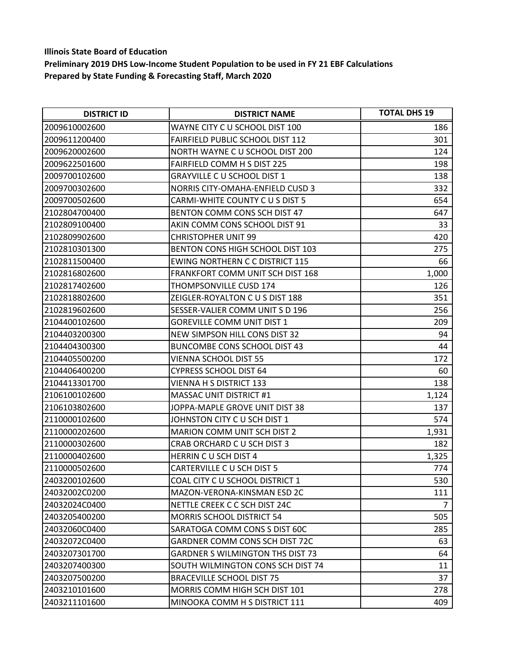| <b>DISTRICT ID</b> | <b>DISTRICT NAME</b>                    | <b>TOTAL DHS 19</b> |
|--------------------|-----------------------------------------|---------------------|
| 2009610002600      | WAYNE CITY C U SCHOOL DIST 100          | 186                 |
| 2009611200400      | <b>FAIRFIELD PUBLIC SCHOOL DIST 112</b> | 301                 |
| 2009620002600      | NORTH WAYNE C U SCHOOL DIST 200         | 124                 |
| 2009622501600      | <b>FAIRFIELD COMM H S DIST 225</b>      | 198                 |
| 2009700102600      | <b>GRAYVILLE C U SCHOOL DIST 1</b>      | 138                 |
| 2009700302600      | NORRIS CITY-OMAHA-ENFIELD CUSD 3        | 332                 |
| 2009700502600      | CARMI-WHITE COUNTY C U S DIST 5         | 654                 |
| 2102804700400      | BENTON COMM CONS SCH DIST 47            | 647                 |
| 2102809100400      | AKIN COMM CONS SCHOOL DIST 91           | 33                  |
| 2102809902600      | <b>CHRISTOPHER UNIT 99</b>              | 420                 |
| 2102810301300      | BENTON CONS HIGH SCHOOL DIST 103        | 275                 |
| 2102811500400      | <b>EWING NORTHERN C C DISTRICT 115</b>  | 66                  |
| 2102816802600      | FRANKFORT COMM UNIT SCH DIST 168        | 1,000               |
| 2102817402600      | THOMPSONVILLE CUSD 174                  | 126                 |
| 2102818802600      | ZEIGLER-ROYALTON C U S DIST 188         | 351                 |
| 2102819602600      | SESSER-VALIER COMM UNIT S D 196         | 256                 |
| 2104400102600      | <b>GOREVILLE COMM UNIT DIST 1</b>       | 209                 |
| 2104403200300      | NEW SIMPSON HILL CONS DIST 32           | 94                  |
| 2104404300300      | <b>BUNCOMBE CONS SCHOOL DIST 43</b>     | 44                  |
| 2104405500200      | <b>VIENNA SCHOOL DIST 55</b>            | 172                 |
| 2104406400200      | <b>CYPRESS SCHOOL DIST 64</b>           | 60                  |
| 2104413301700      | <b>VIENNA H S DISTRICT 133</b>          | 138                 |
| 2106100102600      | <b>MASSAC UNIT DISTRICT #1</b>          | 1,124               |
| 2106103802600      | JOPPA-MAPLE GROVE UNIT DIST 38          | 137                 |
| 2110000102600      | JOHNSTON CITY C U SCH DIST 1            | 574                 |
| 2110000202600      | <b>MARION COMM UNIT SCH DIST 2</b>      | 1,931               |
| 2110000302600      | CRAB ORCHARD C U SCH DIST 3             | 182                 |
| 2110000402600      | HERRIN CU SCH DIST 4                    | 1,325               |
| 2110000502600      | CARTERVILLE C U SCH DIST 5              | 774                 |
| 2403200102600      | COAL CITY C U SCHOOL DISTRICT 1         | 530                 |
| 24032002C0200      | MAZON-VERONA-KINSMAN ESD 2C             | 111                 |
| 24032024C0400      | NETTLE CREEK C C SCH DIST 24C           | $\overline{7}$      |
| 2403205400200      | <b>MORRIS SCHOOL DISTRICT 54</b>        | 505                 |
| 24032060C0400      | SARATOGA COMM CONS S DIST 60C           | 285                 |
| 24032072C0400      | GARDNER COMM CONS SCH DIST 72C          | 63                  |
| 2403207301700      | <b>GARDNER S WILMINGTON THS DIST 73</b> | 64                  |
| 2403207400300      | SOUTH WILMINGTON CONS SCH DIST 74       | 11                  |
| 2403207500200      | <b>BRACEVILLE SCHOOL DIST 75</b>        | 37                  |
| 2403210101600      | MORRIS COMM HIGH SCH DIST 101           | 278                 |
| 2403211101600      | MINOOKA COMM H S DISTRICT 111           | 409                 |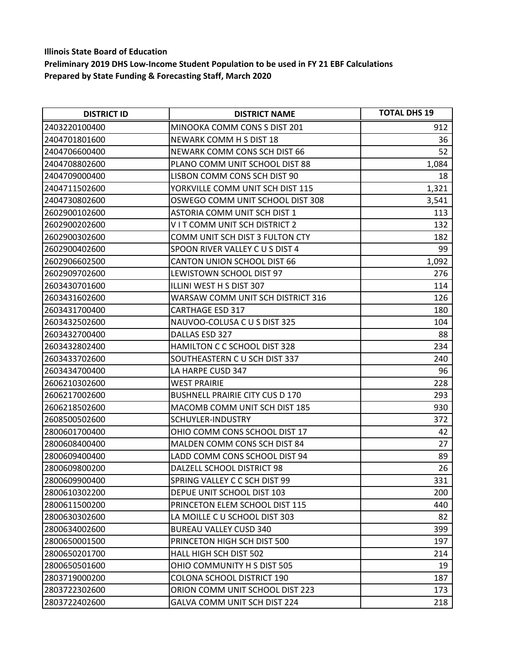| <b>DISTRICT ID</b> | <b>DISTRICT NAME</b>                   | <b>TOTAL DHS 19</b> |
|--------------------|----------------------------------------|---------------------|
| 2403220100400      | MINOOKA COMM CONS S DIST 201           | 912                 |
| 2404701801600      | NEWARK COMM H S DIST 18                | 36                  |
| 2404706600400      | NEWARK COMM CONS SCH DIST 66           | 52                  |
| 2404708802600      | PLANO COMM UNIT SCHOOL DIST 88         | 1,084               |
| 2404709000400      | LISBON COMM CONS SCH DIST 90           | 18                  |
| 2404711502600      | YORKVILLE COMM UNIT SCH DIST 115       | 1,321               |
| 2404730802600      | OSWEGO COMM UNIT SCHOOL DIST 308       | 3,541               |
| 2602900102600      | ASTORIA COMM UNIT SCH DIST 1           | 113                 |
| 2602900202600      | V I T COMM UNIT SCH DISTRICT 2         | 132                 |
| 2602900302600      | COMM UNIT SCH DIST 3 FULTON CTY        | 182                 |
| 2602900402600      | SPOON RIVER VALLEY C U S DIST 4        | 99                  |
| 2602906602500      | CANTON UNION SCHOOL DIST 66            | 1,092               |
| 2602909702600      | LEWISTOWN SCHOOL DIST 97               | 276                 |
| 2603430701600      | ILLINI WEST H S DIST 307               | 114                 |
| 2603431602600      | WARSAW COMM UNIT SCH DISTRICT 316      | 126                 |
| 2603431700400      | <b>CARTHAGE ESD 317</b>                | 180                 |
| 2603432502600      | NAUVOO-COLUSA C U S DIST 325           | 104                 |
| 2603432700400      | DALLAS ESD 327                         | 88                  |
| 2603432802400      | HAMILTON C C SCHOOL DIST 328           | 234                 |
| 2603433702600      | SOUTHEASTERN C U SCH DIST 337          | 240                 |
| 2603434700400      | LA HARPE CUSD 347                      | 96                  |
| 2606210302600      | <b>WEST PRAIRIE</b>                    | 228                 |
| 2606217002600      | <b>BUSHNELL PRAIRIE CITY CUS D 170</b> | 293                 |
| 2606218502600      | MACOMB COMM UNIT SCH DIST 185          | 930                 |
| 2608500502600      | SCHUYLER-INDUSTRY                      | 372                 |
| 2800601700400      | OHIO COMM CONS SCHOOL DIST 17          | 42                  |
| 2800608400400      | MALDEN COMM CONS SCH DIST 84           | 27                  |
| 2800609400400      | LADD COMM CONS SCHOOL DIST 94          | 89                  |
| 2800609800200      | DALZELL SCHOOL DISTRICT 98             | 26                  |
| 2800609900400      | SPRING VALLEY C C SCH DIST 99          | 331                 |
| 2800610302200      | DEPUE UNIT SCHOOL DIST 103             | 200                 |
| 2800611500200      | PRINCETON ELEM SCHOOL DIST 115         | 440                 |
| 2800630302600      | LA MOILLE C U SCHOOL DIST 303          | 82                  |
| 2800634002600      | <b>BUREAU VALLEY CUSD 340</b>          | 399                 |
| 2800650001500      | PRINCETON HIGH SCH DIST 500            | 197                 |
| 2800650201700      | HALL HIGH SCH DIST 502                 | 214                 |
| 2800650501600      | OHIO COMMUNITY H S DIST 505            | 19                  |
| 2803719000200      | <b>COLONA SCHOOL DISTRICT 190</b>      | 187                 |
| 2803722302600      | ORION COMM UNIT SCHOOL DIST 223        | 173                 |
| 2803722402600      | GALVA COMM UNIT SCH DIST 224           | 218                 |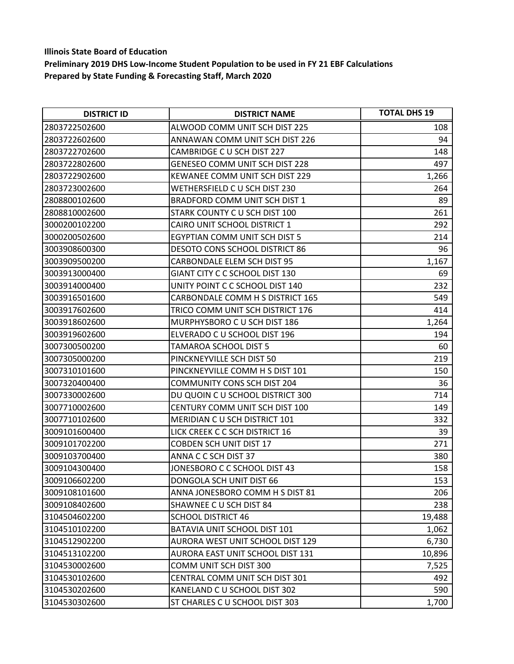| <b>DISTRICT ID</b> | <b>DISTRICT NAME</b>                  | <b>TOTAL DHS 19</b> |
|--------------------|---------------------------------------|---------------------|
| 2803722502600      | ALWOOD COMM UNIT SCH DIST 225         | 108                 |
| 2803722602600      | ANNAWAN COMM UNIT SCH DIST 226        | 94                  |
| 2803722702600      | CAMBRIDGE C U SCH DIST 227            | 148                 |
| 2803722802600      | <b>GENESEO COMM UNIT SCH DIST 228</b> | 497                 |
| 2803722902600      | KEWANEE COMM UNIT SCH DIST 229        | 1,266               |
| 2803723002600      | WETHERSFIELD C U SCH DIST 230         | 264                 |
| 2808800102600      | <b>BRADFORD COMM UNIT SCH DIST 1</b>  | 89                  |
| 2808810002600      | STARK COUNTY C U SCH DIST 100         | 261                 |
| 3000200102200      | CAIRO UNIT SCHOOL DISTRICT 1          | 292                 |
| 3000200502600      | EGYPTIAN COMM UNIT SCH DIST 5         | 214                 |
| 3003908600300      | <b>DESOTO CONS SCHOOL DISTRICT 86</b> | 96                  |
| 3003909500200      | CARBONDALE ELEM SCH DIST 95           | 1,167               |
| 3003913000400      | GIANT CITY C C SCHOOL DIST 130        | 69                  |
| 3003914000400      | UNITY POINT C C SCHOOL DIST 140       | 232                 |
| 3003916501600      | CARBONDALE COMM H S DISTRICT 165      | 549                 |
| 3003917602600      | TRICO COMM UNIT SCH DISTRICT 176      | 414                 |
| 3003918602600      | MURPHYSBORO C U SCH DIST 186          | 1,264               |
| 3003919602600      | ELVERADO C U SCHOOL DIST 196          | 194                 |
| 3007300500200      | TAMAROA SCHOOL DIST 5                 | 60                  |
| 3007305000200      | PINCKNEYVILLE SCH DIST 50             | 219                 |
| 3007310101600      | PINCKNEYVILLE COMM H S DIST 101       | 150                 |
| 3007320400400      | <b>COMMUNITY CONS SCH DIST 204</b>    | 36                  |
| 3007330002600      | DU QUOIN C U SCHOOL DISTRICT 300      | 714                 |
| 3007710002600      | CENTURY COMM UNIT SCH DIST 100        | 149                 |
| 3007710102600      | MERIDIAN C U SCH DISTRICT 101         | 332                 |
| 3009101600400      | LICK CREEK C C SCH DISTRICT 16        | 39                  |
| 3009101702200      | <b>COBDEN SCH UNIT DIST 17</b>        | 271                 |
| 3009103700400      | ANNA C C SCH DIST 37                  | 380                 |
| 3009104300400      | JONESBORO C C SCHOOL DIST 43          | 158                 |
| 3009106602200      | DONGOLA SCH UNIT DIST 66              | 153                 |
| 3009108101600      | ANNA JONESBORO COMM H S DIST 81       | 206                 |
| 3009108402600      | SHAWNEE C U SCH DIST 84               | 238                 |
| 3104504602200      | <b>SCHOOL DISTRICT 46</b>             | 19,488              |
| 3104510102200      | BATAVIA UNIT SCHOOL DIST 101          | 1,062               |
| 3104512902200      | AURORA WEST UNIT SCHOOL DIST 129      | 6,730               |
| 3104513102200      | AURORA EAST UNIT SCHOOL DIST 131      | 10,896              |
| 3104530002600      | COMM UNIT SCH DIST 300                | 7,525               |
| 3104530102600      | <b>CENTRAL COMM UNIT SCH DIST 301</b> | 492                 |
| 3104530202600      | KANELAND C U SCHOOL DIST 302          | 590                 |
| 3104530302600      | ST CHARLES C U SCHOOL DIST 303        | 1,700               |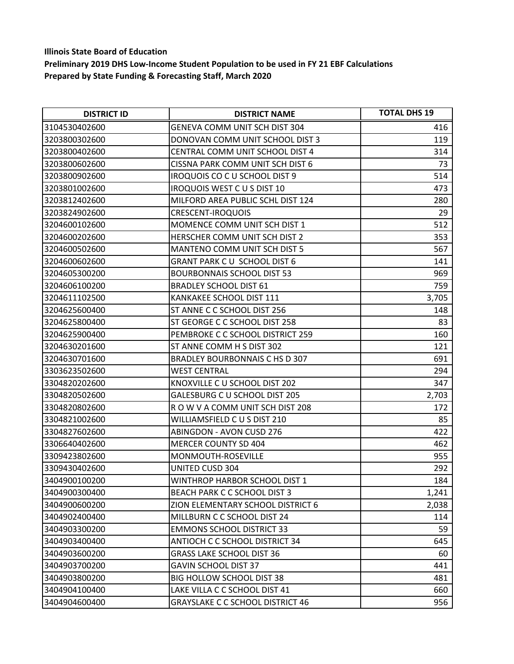| <b>DISTRICT ID</b> | <b>DISTRICT NAME</b>                    | <b>TOTAL DHS 19</b> |
|--------------------|-----------------------------------------|---------------------|
| 3104530402600      | <b>GENEVA COMM UNIT SCH DIST 304</b>    | 416                 |
| 3203800302600      | DONOVAN COMM UNIT SCHOOL DIST 3         | 119                 |
| 3203800402600      | CENTRAL COMM UNIT SCHOOL DIST 4         | 314                 |
| 3203800602600      | CISSNA PARK COMM UNIT SCH DIST 6        | 73                  |
| 3203800902600      | IROQUOIS CO C U SCHOOL DIST 9           | 514                 |
| 3203801002600      | <b>IROQUOIS WEST C U S DIST 10</b>      | 473                 |
| 3203812402600      | MILFORD AREA PUBLIC SCHL DIST 124       | 280                 |
| 3203824902600      | CRESCENT-IROQUOIS                       | 29                  |
| 3204600102600      | MOMENCE COMM UNIT SCH DIST 1            | 512                 |
| 3204600202600      | HERSCHER COMM UNIT SCH DIST 2           | 353                 |
| 3204600502600      | MANTENO COMM UNIT SCH DIST 5            | 567                 |
| 3204600602600      | GRANT PARK CU SCHOOL DIST 6             | 141                 |
| 3204605300200      | <b>BOURBONNAIS SCHOOL DIST 53</b>       | 969                 |
| 3204606100200      | <b>BRADLEY SCHOOL DIST 61</b>           | 759                 |
| 3204611102500      | KANKAKEE SCHOOL DIST 111                | 3,705               |
| 3204625600400      | ST ANNE C C SCHOOL DIST 256             | 148                 |
| 3204625800400      | ST GEORGE C C SCHOOL DIST 258           | 83                  |
| 3204625900400      | PEMBROKE C C SCHOOL DISTRICT 259        | 160                 |
| 3204630201600      | ST ANNE COMM H S DIST 302               | 121                 |
| 3204630701600      | BRADLEY BOURBONNAIS C HS D 307          | 691                 |
| 3303623502600      | <b>WEST CENTRAL</b>                     | 294                 |
| 3304820202600      | KNOXVILLE C U SCHOOL DIST 202           | 347                 |
| 3304820502600      | <b>GALESBURG C U SCHOOL DIST 205</b>    | 2,703               |
| 3304820802600      | ROW V A COMM UNIT SCH DIST 208          | 172                 |
| 3304821002600      | WILLIAMSFIELD C U S DIST 210            | 85                  |
| 3304827602600      | ABINGDON - AVON CUSD 276                | 422                 |
| 3306640402600      | <b>MERCER COUNTY SD 404</b>             | 462                 |
| 3309423802600      | MONMOUTH-ROSEVILLE                      | 955                 |
| 3309430402600      | <b>UNITED CUSD 304</b>                  | 292                 |
| 3404900100200      | WINTHROP HARBOR SCHOOL DIST 1           | 184                 |
| 3404900300400      | <b>BEACH PARK C C SCHOOL DIST 3</b>     | 1,241               |
| 3404900600200      | ZION ELEMENTARY SCHOOL DISTRICT 6       | 2,038               |
| 3404902400400      | MILLBURN C C SCHOOL DIST 24             | 114                 |
| 3404903300200      | <b>EMMONS SCHOOL DISTRICT 33</b>        | 59                  |
| 3404903400400      | ANTIOCH C C SCHOOL DISTRICT 34          | 645                 |
| 3404903600200      | <b>GRASS LAKE SCHOOL DIST 36</b>        | 60                  |
| 3404903700200      | <b>GAVIN SCHOOL DIST 37</b>             | 441                 |
| 3404903800200      | <b>BIG HOLLOW SCHOOL DIST 38</b>        | 481                 |
| 3404904100400      | LAKE VILLA C C SCHOOL DIST 41           | 660                 |
| 3404904600400      | <b>GRAYSLAKE C C SCHOOL DISTRICT 46</b> | 956                 |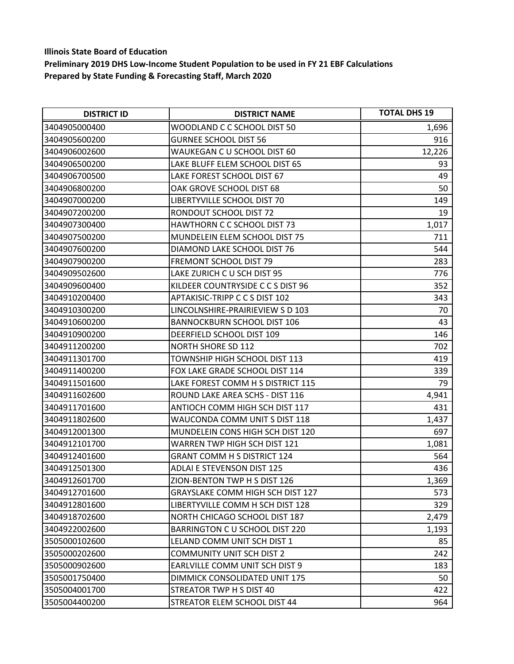| <b>DISTRICT ID</b> | <b>DISTRICT NAME</b>                    | <b>TOTAL DHS 19</b> |
|--------------------|-----------------------------------------|---------------------|
| 3404905000400      | WOODLAND C C SCHOOL DIST 50             | 1,696               |
| 3404905600200      | <b>GURNEE SCHOOL DIST 56</b>            | 916                 |
| 3404906002600      | WAUKEGAN C U SCHOOL DIST 60             | 12,226              |
| 3404906500200      | LAKE BLUFF ELEM SCHOOL DIST 65          | 93                  |
| 3404906700500      | LAKE FOREST SCHOOL DIST 67              | 49                  |
| 3404906800200      | OAK GROVE SCHOOL DIST 68                | 50                  |
| 3404907000200      | LIBERTYVILLE SCHOOL DIST 70             | 149                 |
| 3404907200200      | RONDOUT SCHOOL DIST 72                  | 19                  |
| 3404907300400      | HAWTHORN C C SCHOOL DIST 73             | 1,017               |
| 3404907500200      | MUNDELEIN ELEM SCHOOL DIST 75           | 711                 |
| 3404907600200      | DIAMOND LAKE SCHOOL DIST 76             | 544                 |
| 3404907900200      | FREMONT SCHOOL DIST 79                  | 283                 |
| 3404909502600      | LAKE ZURICH C U SCH DIST 95             | 776                 |
| 3404909600400      | KILDEER COUNTRYSIDE C C S DIST 96       | 352                 |
| 3404910200400      | APTAKISIC-TRIPP C C S DIST 102          | 343                 |
| 3404910300200      | LINCOLNSHIRE-PRAIRIEVIEW S D 103        | 70                  |
| 3404910600200      | <b>BANNOCKBURN SCHOOL DIST 106</b>      | 43                  |
| 3404910900200      | DEERFIELD SCHOOL DIST 109               | 146                 |
| 3404911200200      | <b>NORTH SHORE SD 112</b>               | 702                 |
| 3404911301700      | TOWNSHIP HIGH SCHOOL DIST 113           | 419                 |
| 3404911400200      | FOX LAKE GRADE SCHOOL DIST 114          | 339                 |
| 3404911501600      | LAKE FOREST COMM H S DISTRICT 115       | 79                  |
| 3404911602600      | ROUND LAKE AREA SCHS - DIST 116         | 4,941               |
| 3404911701600      | ANTIOCH COMM HIGH SCH DIST 117          | 431                 |
| 3404911802600      | WAUCONDA COMM UNIT S DIST 118           | 1,437               |
| 3404912001300      | MUNDELEIN CONS HIGH SCH DIST 120        | 697                 |
| 3404912101700      | WARREN TWP HIGH SCH DIST 121            | 1,081               |
| 3404912401600      | <b>GRANT COMM H S DISTRICT 124</b>      | 564                 |
| 3404912501300      | <b>ADLAI E STEVENSON DIST 125</b>       | 436                 |
| 3404912601700      | ZION-BENTON TWP H S DIST 126            | 1,369               |
| 3404912701600      | <b>GRAYSLAKE COMM HIGH SCH DIST 127</b> | 573                 |
| 3404912801600      | LIBERTYVILLE COMM H SCH DIST 128        | 329                 |
| 3404918702600      | NORTH CHICAGO SCHOOL DIST 187           | 2,479               |
| 3404922002600      | BARRINGTON C U SCHOOL DIST 220          | 1,193               |
| 3505000102600      | LELAND COMM UNIT SCH DIST 1             | 85                  |
| 3505000202600      | <b>COMMUNITY UNIT SCH DIST 2</b>        | 242                 |
| 3505000902600      | EARLVILLE COMM UNIT SCH DIST 9          | 183                 |
| 3505001750400      | DIMMICK CONSOLIDATED UNIT 175           | 50                  |
| 3505004001700      | STREATOR TWP H S DIST 40                | 422                 |
| 3505004400200      | STREATOR ELEM SCHOOL DIST 44            | 964                 |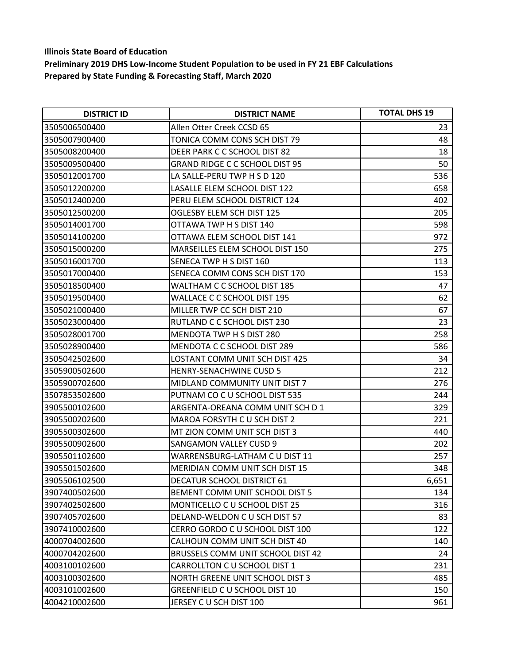| <b>DISTRICT ID</b> | <b>DISTRICT NAME</b>                  | <b>TOTAL DHS 19</b> |
|--------------------|---------------------------------------|---------------------|
| 3505006500400      | Allen Otter Creek CCSD 65             | 23                  |
| 3505007900400      | TONICA COMM CONS SCH DIST 79          | 48                  |
| 3505008200400      | DEER PARK C C SCHOOL DIST 82          | 18                  |
| 3505009500400      | <b>GRAND RIDGE C C SCHOOL DIST 95</b> | 50                  |
| 3505012001700      | LA SALLE-PERU TWP H S D 120           | 536                 |
| 3505012200200      | LASALLE ELEM SCHOOL DIST 122          | 658                 |
| 3505012400200      | PERU ELEM SCHOOL DISTRICT 124         | 402                 |
| 3505012500200      | OGLESBY ELEM SCH DIST 125             | 205                 |
| 3505014001700      | OTTAWA TWP H S DIST 140               | 598                 |
| 3505014100200      | OTTAWA ELEM SCHOOL DIST 141           | 972                 |
| 3505015000200      | MARSEILLES ELEM SCHOOL DIST 150       | 275                 |
| 3505016001700      | SENECA TWP H S DIST 160               | 113                 |
| 3505017000400      | SENECA COMM CONS SCH DIST 170         | 153                 |
| 3505018500400      | WALTHAM C C SCHOOL DIST 185           | 47                  |
| 3505019500400      | WALLACE C C SCHOOL DIST 195           | 62                  |
| 3505021000400      | MILLER TWP CC SCH DIST 210            | 67                  |
| 3505023000400      | RUTLAND C C SCHOOL DIST 230           | 23                  |
| 3505028001700      | MENDOTA TWP H S DIST 280              | 258                 |
| 3505028900400      | MENDOTA C C SCHOOL DIST 289           | 586                 |
| 3505042502600      | LOSTANT COMM UNIT SCH DIST 425        | 34                  |
| 3505900502600      | <b>HENRY-SENACHWINE CUSD 5</b>        | 212                 |
| 3505900702600      | MIDLAND COMMUNITY UNIT DIST 7         | 276                 |
| 3507853502600      | PUTNAM CO C U SCHOOL DIST 535         | 244                 |
| 3905500102600      | ARGENTA-OREANA COMM UNIT SCH D 1      | 329                 |
| 3905500202600      | MAROA FORSYTH C U SCH DIST 2          | 221                 |
| 3905500302600      | MT ZION COMM UNIT SCH DIST 3          | 440                 |
| 3905500902600      | <b>SANGAMON VALLEY CUSD 9</b>         | 202                 |
| 3905501102600      | WARRENSBURG-LATHAM C U DIST 11        | 257                 |
| 3905501502600      | MERIDIAN COMM UNIT SCH DIST 15        | 348                 |
| 3905506102500      | DECATUR SCHOOL DISTRICT 61            | 6,651               |
| 3907400502600      | BEMENT COMM UNIT SCHOOL DIST 5        | 134                 |
| 3907402502600      | MONTICELLO C U SCHOOL DIST 25         | 316                 |
| 3907405702600      | DELAND-WELDON C U SCH DIST 57         | 83                  |
| 3907410002600      | CERRO GORDO C U SCHOOL DIST 100       | 122                 |
| 4000704002600      | CALHOUN COMM UNIT SCH DIST 40         | 140                 |
| 4000704202600      | BRUSSELS COMM UNIT SCHOOL DIST 42     | 24                  |
| 4003100102600      | CARROLLTON C U SCHOOL DIST 1          | 231                 |
| 4003100302600      | NORTH GREENE UNIT SCHOOL DIST 3       | 485                 |
| 4003101002600      | GREENFIELD C U SCHOOL DIST 10         | 150                 |
| 4004210002600      | JERSEY C U SCH DIST 100               | 961                 |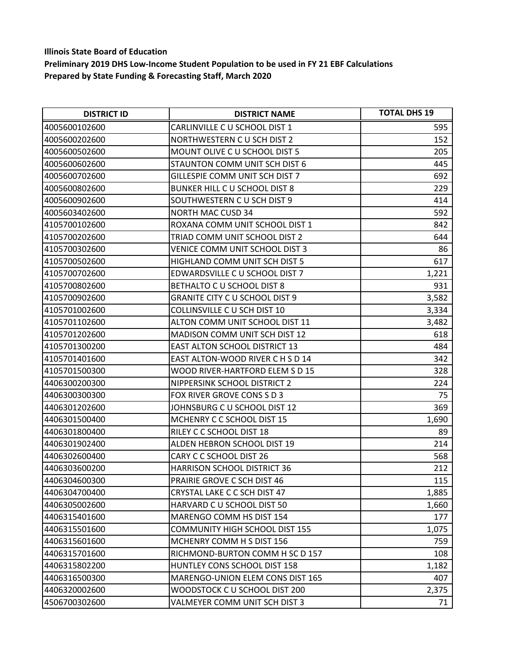| <b>DISTRICT ID</b> | <b>DISTRICT NAME</b>                  | <b>TOTAL DHS 19</b> |
|--------------------|---------------------------------------|---------------------|
| 4005600102600      | CARLINVILLE C U SCHOOL DIST 1         | 595                 |
| 4005600202600      | NORTHWESTERN CU SCH DIST 2            | 152                 |
| 4005600502600      | MOUNT OLIVE C U SCHOOL DIST 5         | 205                 |
| 4005600602600      | STAUNTON COMM UNIT SCH DIST 6         | 445                 |
| 4005600702600      | GILLESPIE COMM UNIT SCH DIST 7        | 692                 |
| 4005600802600      | BUNKER HILL C U SCHOOL DIST 8         | 229                 |
| 4005600902600      | SOUTHWESTERN C U SCH DIST 9           | 414                 |
| 4005603402600      | <b>NORTH MAC CUSD 34</b>              | 592                 |
| 4105700102600      | ROXANA COMM UNIT SCHOOL DIST 1        | 842                 |
| 4105700202600      | TRIAD COMM UNIT SCHOOL DIST 2         | 644                 |
| 4105700302600      | VENICE COMM UNIT SCHOOL DIST 3        | 86                  |
| 4105700502600      | <b>HIGHLAND COMM UNIT SCH DIST 5</b>  | 617                 |
| 4105700702600      | EDWARDSVILLE C U SCHOOL DIST 7        | 1,221               |
| 4105700802600      | BETHALTO C U SCHOOL DIST 8            | 931                 |
| 4105700902600      | <b>GRANITE CITY C U SCHOOL DIST 9</b> | 3,582               |
| 4105701002600      | COLLINSVILLE C U SCH DIST 10          | 3,334               |
| 4105701102600      | ALTON COMM UNIT SCHOOL DIST 11        | 3,482               |
| 4105701202600      | <b>MADISON COMM UNIT SCH DIST 12</b>  | 618                 |
| 4105701300200      | <b>EAST ALTON SCHOOL DISTRICT 13</b>  | 484                 |
| 4105701401600      | EAST ALTON-WOOD RIVER C H S D 14      | 342                 |
| 4105701500300      | WOOD RIVER-HARTFORD ELEM S D 15       | 328                 |
| 4406300200300      | NIPPERSINK SCHOOL DISTRICT 2          | 224                 |
| 4406300300300      | FOX RIVER GROVE CONS S D 3            | 75                  |
| 4406301202600      | JOHNSBURG C U SCHOOL DIST 12          | 369                 |
| 4406301500400      | MCHENRY C C SCHOOL DIST 15            | 1,690               |
| 4406301800400      | RILEY C C SCHOOL DIST 18              | 89                  |
| 4406301902400      | ALDEN HEBRON SCHOOL DIST 19           | 214                 |
| 4406302600400      | CARY C C SCHOOL DIST 26               | 568                 |
| 4406303600200      | HARRISON SCHOOL DISTRICT 36           | 212                 |
| 4406304600300      | PRAIRIE GROVE C SCH DIST 46           | 115                 |
| 4406304700400      | CRYSTAL LAKE C C SCH DIST 47          | 1,885               |
| 4406305002600      | HARVARD C U SCHOOL DIST 50            | 1,660               |
| 4406315401600      | MARENGO COMM HS DIST 154              | 177                 |
| 4406315501600      | <b>COMMUNITY HIGH SCHOOL DIST 155</b> | 1,075               |
| 4406315601600      | MCHENRY COMM H S DIST 156             | 759                 |
| 4406315701600      | RICHMOND-BURTON COMM H SC D 157       | 108                 |
| 4406315802200      | HUNTLEY CONS SCHOOL DIST 158          | 1,182               |
| 4406316500300      | MARENGO-UNION ELEM CONS DIST 165      | 407                 |
| 4406320002600      | WOODSTOCK C U SCHOOL DIST 200         | 2,375               |
| 4506700302600      | VALMEYER COMM UNIT SCH DIST 3         | 71                  |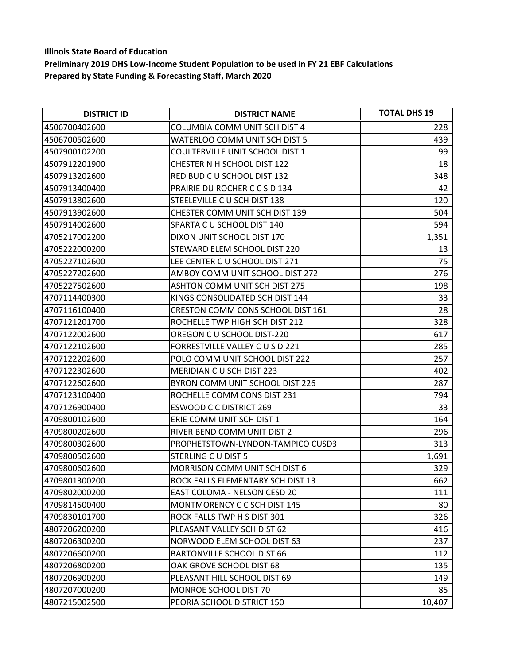| <b>DISTRICT ID</b> | <b>DISTRICT NAME</b>                 | <b>TOTAL DHS 19</b> |
|--------------------|--------------------------------------|---------------------|
| 4506700402600      | COLUMBIA COMM UNIT SCH DIST 4        | 228                 |
| 4506700502600      | WATERLOO COMM UNIT SCH DIST 5        | 439                 |
| 4507900102200      | COULTERVILLE UNIT SCHOOL DIST 1      | 99                  |
| 4507912201900      | CHESTER N H SCHOOL DIST 122          | 18                  |
| 4507913202600      | RED BUD C U SCHOOL DIST 132          | 348                 |
| 4507913400400      | PRAIRIE DU ROCHER CCSD 134           | 42                  |
| 4507913802600      | STEELEVILLE C U SCH DIST 138         | 120                 |
| 4507913902600      | CHESTER COMM UNIT SCH DIST 139       | 504                 |
| 4507914002600      | SPARTA C U SCHOOL DIST 140           | 594                 |
| 4705217002200      | DIXON UNIT SCHOOL DIST 170           | 1,351               |
| 4705222000200      | STEWARD ELEM SCHOOL DIST 220         | 13                  |
| 4705227102600      | LEE CENTER C U SCHOOL DIST 271       | 75                  |
| 4705227202600      | AMBOY COMM UNIT SCHOOL DIST 272      | 276                 |
| 4705227502600      | <b>ASHTON COMM UNIT SCH DIST 275</b> | 198                 |
| 4707114400300      | KINGS CONSOLIDATED SCH DIST 144      | 33                  |
| 4707116100400      | CRESTON COMM CONS SCHOOL DIST 161    | 28                  |
| 4707121201700      | ROCHELLE TWP HIGH SCH DIST 212       | 328                 |
| 4707122002600      | OREGON C U SCHOOL DIST-220           | 617                 |
| 4707122102600      | FORRESTVILLE VALLEY C U S D 221      | 285                 |
| 4707122202600      | POLO COMM UNIT SCHOOL DIST 222       | 257                 |
| 4707122302600      | MERIDIAN CU SCH DIST 223             | 402                 |
| 4707122602600      | BYRON COMM UNIT SCHOOL DIST 226      | 287                 |
| 4707123100400      | ROCHELLE COMM CONS DIST 231          | 794                 |
| 4707126900400      | <b>ESWOOD C C DISTRICT 269</b>       | 33                  |
| 4709800102600      | ERIE COMM UNIT SCH DIST 1            | 164                 |
| 4709800202600      | RIVER BEND COMM UNIT DIST 2          | 296                 |
| 4709800302600      | PROPHETSTOWN-LYNDON-TAMPICO CUSD3    | 313                 |
| 4709800502600      | STERLING C U DIST 5                  | 1,691               |
| 4709800602600      | MORRISON COMM UNIT SCH DIST 6        | 329                 |
| 4709801300200      | ROCK FALLS ELEMENTARY SCH DIST 13    | 662                 |
| 4709802000200      | EAST COLOMA - NELSON CESD 20         | 111                 |
| 4709814500400      | MONTMORENCY C C SCH DIST 145         | 80                  |
| 4709830101700      | ROCK FALLS TWP H S DIST 301          | 326                 |
| 4807206200200      | PLEASANT VALLEY SCH DIST 62          | 416                 |
| 4807206300200      | NORWOOD ELEM SCHOOL DIST 63          | 237                 |
| 4807206600200      | <b>BARTONVILLE SCHOOL DIST 66</b>    | 112                 |
| 4807206800200      | OAK GROVE SCHOOL DIST 68             | 135                 |
| 4807206900200      | PLEASANT HILL SCHOOL DIST 69         | 149                 |
| 4807207000200      | MONROE SCHOOL DIST 70                | 85                  |
| 4807215002500      | PEORIA SCHOOL DISTRICT 150           | 10,407              |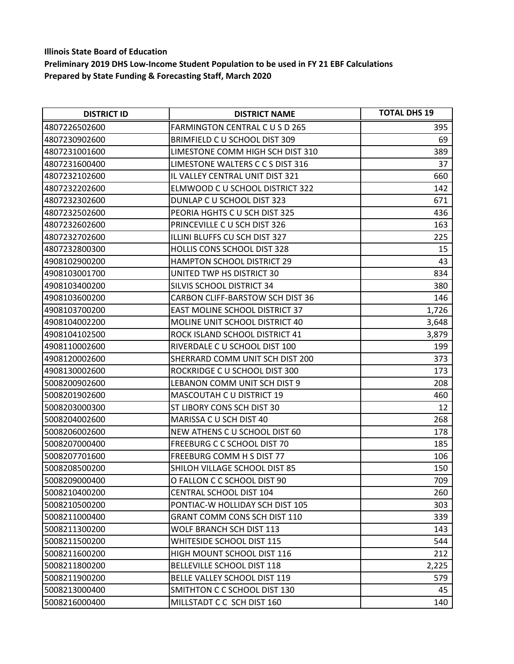| <b>DISTRICT ID</b> | <b>DISTRICT NAME</b>                  | <b>TOTAL DHS 19</b> |
|--------------------|---------------------------------------|---------------------|
| 4807226502600      | <b>FARMINGTON CENTRAL C U S D 265</b> | 395                 |
| 4807230902600      | BRIMFIELD C U SCHOOL DIST 309         | 69                  |
| 4807231001600      | LIMESTONE COMM HIGH SCH DIST 310      | 389                 |
| 4807231600400      | LIMESTONE WALTERS C C S DIST 316      | 37                  |
| 4807232102600      | IL VALLEY CENTRAL UNIT DIST 321       | 660                 |
| 4807232202600      | ELMWOOD C U SCHOOL DISTRICT 322       | 142                 |
| 4807232302600      | DUNLAP C U SCHOOL DIST 323            | 671                 |
| 4807232502600      | PEORIA HGHTS C U SCH DIST 325         | 436                 |
| 4807232602600      | PRINCEVILLE C U SCH DIST 326          | 163                 |
| 4807232702600      | ILLINI BLUFFS CU SCH DIST 327         | 225                 |
| 4807232800300      | HOLLIS CONS SCHOOL DIST 328           | 15                  |
| 4908102900200      | <b>HAMPTON SCHOOL DISTRICT 29</b>     | 43                  |
| 4908103001700      | UNITED TWP HS DISTRICT 30             | 834                 |
| 4908103400200      | SILVIS SCHOOL DISTRICT 34             | 380                 |
| 4908103600200      | CARBON CLIFF-BARSTOW SCH DIST 36      | 146                 |
| 4908103700200      | <b>EAST MOLINE SCHOOL DISTRICT 37</b> | 1,726               |
| 4908104002200      | <b>MOLINE UNIT SCHOOL DISTRICT 40</b> | 3,648               |
| 4908104102500      | ROCK ISLAND SCHOOL DISTRICT 41        | 3,879               |
| 4908110002600      | RIVERDALE C U SCHOOL DIST 100         | 199                 |
| 4908120002600      | SHERRARD COMM UNIT SCH DIST 200       | 373                 |
| 4908130002600      | ROCKRIDGE C U SCHOOL DIST 300         | 173                 |
| 5008200902600      | LEBANON COMM UNIT SCH DIST 9          | 208                 |
| 5008201902600      | <b>MASCOUTAH C U DISTRICT 19</b>      | 460                 |
| 5008203000300      | ST LIBORY CONS SCH DIST 30            | 12                  |
| 5008204002600      | MARISSA C U SCH DIST 40               | 268                 |
| 5008206002600      | NEW ATHENS C U SCHOOL DIST 60         | 178                 |
| 5008207000400      | <b>FREEBURG C C SCHOOL DIST 70</b>    | 185                 |
| 5008207701600      | FREEBURG COMM H S DIST 77             | 106                 |
| 5008208500200      | SHILOH VILLAGE SCHOOL DIST 85         | 150                 |
| 5008209000400      | O FALLON C C SCHOOL DIST 90           | 709                 |
| 5008210400200      | <b>CENTRAL SCHOOL DIST 104</b>        | 260                 |
| 5008210500200      | PONTIAC-W HOLLIDAY SCH DIST 105       | 303                 |
| 5008211000400      | <b>GRANT COMM CONS SCH DIST 110</b>   | 339                 |
| 5008211300200      | WOLF BRANCH SCH DIST 113              | 143                 |
| 5008211500200      | WHITESIDE SCHOOL DIST 115             | 544                 |
| 5008211600200      | HIGH MOUNT SCHOOL DIST 116            | 212                 |
| 5008211800200      | <b>BELLEVILLE SCHOOL DIST 118</b>     | 2,225               |
| 5008211900200      | <b>BELLE VALLEY SCHOOL DIST 119</b>   | 579                 |
| 5008213000400      | SMITHTON C C SCHOOL DIST 130          | 45                  |
| 5008216000400      | MILLSTADT C C SCH DIST 160            | 140                 |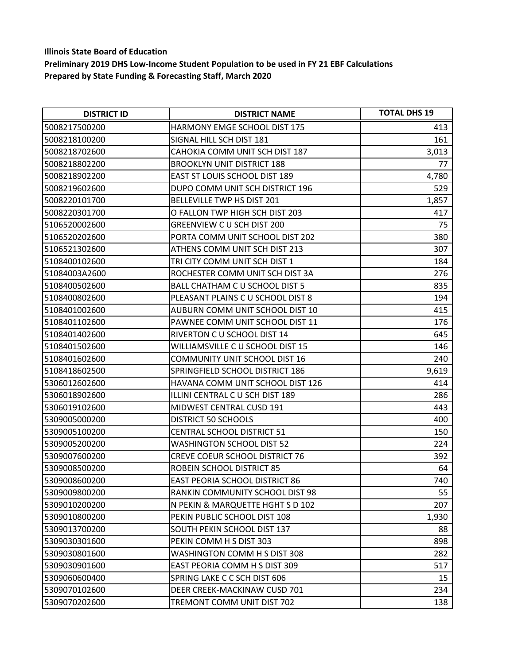| <b>DISTRICT ID</b> | <b>DISTRICT NAME</b>                  | <b>TOTAL DHS 19</b> |
|--------------------|---------------------------------------|---------------------|
| 5008217500200      | <b>HARMONY EMGE SCHOOL DIST 175</b>   | 413                 |
| 5008218100200      | SIGNAL HILL SCH DIST 181              | 161                 |
| 5008218702600      | CAHOKIA COMM UNIT SCH DIST 187        | 3,013               |
| 5008218802200      | <b>BROOKLYN UNIT DISTRICT 188</b>     | 77                  |
| 5008218902200      | EAST ST LOUIS SCHOOL DIST 189         | 4,780               |
| 5008219602600      | DUPO COMM UNIT SCH DISTRICT 196       | 529                 |
| 5008220101700      | BELLEVILLE TWP HS DIST 201            | 1,857               |
| 5008220301700      | O FALLON TWP HIGH SCH DIST 203        | 417                 |
| 5106520002600      | <b>GREENVIEW CU SCH DIST 200</b>      | 75                  |
| 5106520202600      | PORTA COMM UNIT SCHOOL DIST 202       | 380                 |
| 5106521302600      | ATHENS COMM UNIT SCH DIST 213         | 307                 |
| 5108400102600      | TRI CITY COMM UNIT SCH DIST 1         | 184                 |
| 51084003A2600      | ROCHESTER COMM UNIT SCH DIST 3A       | 276                 |
| 5108400502600      | BALL CHATHAM C U SCHOOL DIST 5        | 835                 |
| 5108400802600      | PLEASANT PLAINS C U SCHOOL DIST 8     | 194                 |
| 5108401002600      | AUBURN COMM UNIT SCHOOL DIST 10       | 415                 |
| 5108401102600      | PAWNEE COMM UNIT SCHOOL DIST 11       | 176                 |
| 5108401402600      | RIVERTON C U SCHOOL DIST 14           | 645                 |
| 5108401502600      | WILLIAMSVILLE C U SCHOOL DIST 15      | 146                 |
| 5108401602600      | <b>COMMUNITY UNIT SCHOOL DIST 16</b>  | 240                 |
| 5108418602500      | SPRINGFIELD SCHOOL DISTRICT 186       | 9,619               |
| 5306012602600      | HAVANA COMM UNIT SCHOOL DIST 126      | 414                 |
| 5306018902600      | ILLINI CENTRAL C U SCH DIST 189       | 286                 |
| 5306019102600      | MIDWEST CENTRAL CUSD 191              | 443                 |
| 5309005000200      | DISTRICT 50 SCHOOLS                   | 400                 |
| 5309005100200      | <b>CENTRAL SCHOOL DISTRICT 51</b>     | 150                 |
| 5309005200200      | <b>WASHINGTON SCHOOL DIST 52</b>      | 224                 |
| 5309007600200      | <b>CREVE COEUR SCHOOL DISTRICT 76</b> | 392                 |
| 5309008500200      | ROBEIN SCHOOL DISTRICT 85             | 64                  |
| 5309008600200      | EAST PEORIA SCHOOL DISTRICT 86        | 740                 |
| 5309009800200      | RANKIN COMMUNITY SCHOOL DIST 98       | 55                  |
| 5309010200200      | N PEKIN & MARQUETTE HGHT S D 102      | 207                 |
| 5309010800200      | PEKIN PUBLIC SCHOOL DIST 108          | 1,930               |
| 5309013700200      | SOUTH PEKIN SCHOOL DIST 137           | 88                  |
| 5309030301600      | PEKIN COMM H S DIST 303               | 898                 |
| 5309030801600      | WASHINGTON COMM H S DIST 308          | 282                 |
| 5309030901600      | EAST PEORIA COMM H S DIST 309         | 517                 |
| 5309060600400      | SPRING LAKE C C SCH DIST 606          | 15                  |
| 5309070102600      | DEER CREEK-MACKINAW CUSD 701          | 234                 |
| 5309070202600      | TREMONT COMM UNIT DIST 702            | 138                 |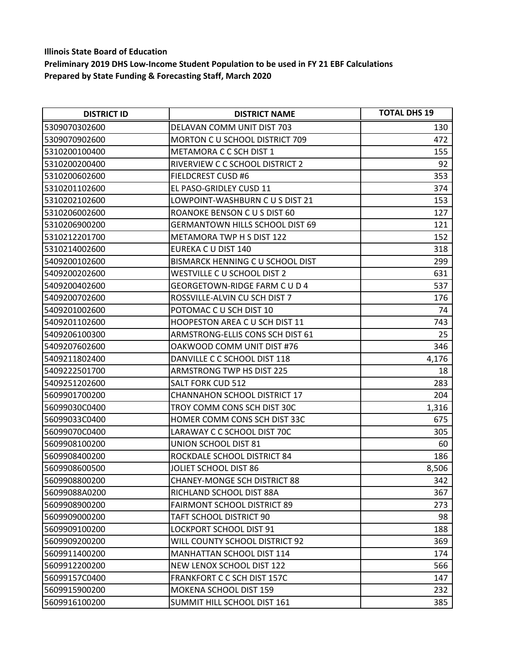| <b>DISTRICT ID</b> | <b>DISTRICT NAME</b>                   | <b>TOTAL DHS 19</b> |
|--------------------|----------------------------------------|---------------------|
| 5309070302600      | DELAVAN COMM UNIT DIST 703             | 130                 |
| 5309070902600      | <b>MORTON C U SCHOOL DISTRICT 709</b>  | 472                 |
| 5310200100400      | METAMORA C C SCH DIST 1                | 155                 |
| 5310200200400      | RIVERVIEW C C SCHOOL DISTRICT 2        | 92                  |
| 5310200602600      | <b>FIELDCREST CUSD #6</b>              | 353                 |
| 5310201102600      | EL PASO-GRIDLEY CUSD 11                | 374                 |
| 5310202102600      | LOWPOINT-WASHBURN C U S DIST 21        | 153                 |
| 5310206002600      | ROANOKE BENSON C U S DIST 60           | 127                 |
| 5310206900200      | <b>GERMANTOWN HILLS SCHOOL DIST 69</b> | 121                 |
| 5310212201700      | <b>METAMORA TWP H S DIST 122</b>       | 152                 |
| 5310214002600      | EUREKA C U DIST 140                    | 318                 |
| 5409200102600      | BISMARCK HENNING C U SCHOOL DIST       | 299                 |
| 5409200202600      | WESTVILLE C U SCHOOL DIST 2            | 631                 |
| 5409200402600      | <b>GEORGETOWN-RIDGE FARM C U D 4</b>   | 537                 |
| 5409200702600      | ROSSVILLE-ALVIN CU SCH DIST 7          | 176                 |
| 5409201002600      | POTOMAC C U SCH DIST 10                | 74                  |
| 5409201102600      | <b>HOOPESTON AREA C U SCH DIST 11</b>  | 743                 |
| 5409206100300      | ARMSTRONG-ELLIS CONS SCH DIST 61       | 25                  |
| 5409207602600      | OAKWOOD COMM UNIT DIST #76             | 346                 |
| 5409211802400      | DANVILLE C C SCHOOL DIST 118           | 4,176               |
| 5409222501700      | ARMSTRONG TWP HS DIST 225              | 18                  |
| 5409251202600      | SALT FORK CUD 512                      | 283                 |
| 5609901700200      | <b>CHANNAHON SCHOOL DISTRICT 17</b>    | 204                 |
| 56099030C0400      | TROY COMM CONS SCH DIST 30C            | 1,316               |
| 56099033C0400      | HOMER COMM CONS SCH DIST 33C           | 675                 |
| 56099070C0400      | LARAWAY C C SCHOOL DIST 70C            | 305                 |
| 5609908100200      | UNION SCHOOL DIST 81                   | 60                  |
| 5609908400200      | ROCKDALE SCHOOL DISTRICT 84            | 186                 |
| 5609908600500      | <b>JOLIET SCHOOL DIST 86</b>           | 8,506               |
| 5609908800200      | <b>CHANEY-MONGE SCH DISTRICT 88</b>    | 342                 |
| 56099088A0200      | RICHLAND SCHOOL DIST 88A               | 367                 |
| 5609908900200      | <b>FAIRMONT SCHOOL DISTRICT 89</b>     | 273                 |
| 5609909000200      | TAFT SCHOOL DISTRICT 90                | 98                  |
| 5609909100200      | <b>LOCKPORT SCHOOL DIST 91</b>         | 188                 |
| 5609909200200      | WILL COUNTY SCHOOL DISTRICT 92         | 369                 |
| 5609911400200      | <b>MANHATTAN SCHOOL DIST 114</b>       | 174                 |
| 5609912200200      | NEW LENOX SCHOOL DIST 122              | 566                 |
| 56099157C0400      | <b>FRANKFORT C C SCH DIST 157C</b>     | 147                 |
| 5609915900200      | <b>MOKENA SCHOOL DIST 159</b>          | 232                 |
| 5609916100200      | SUMMIT HILL SCHOOL DIST 161            | 385                 |